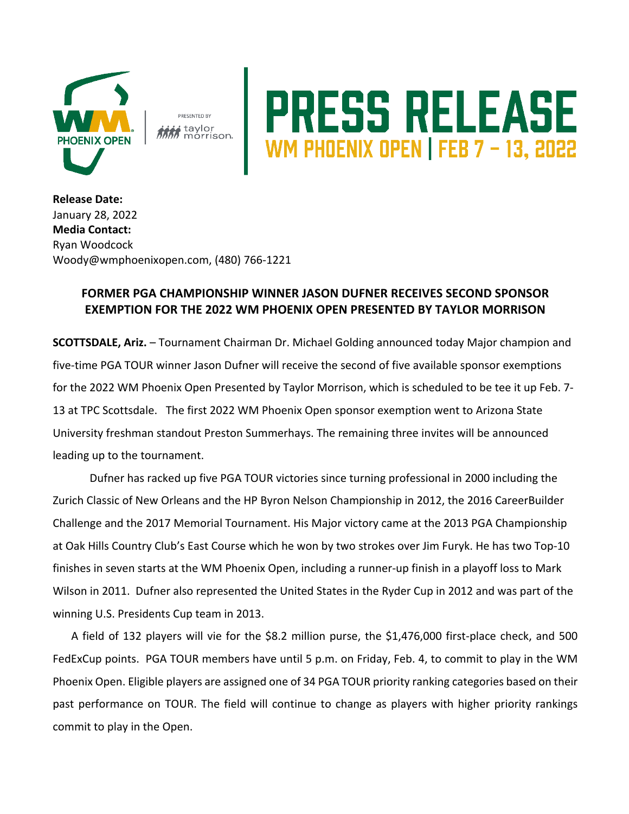

PRESENTED BY **MM** taylor<br>MM<sub></sub> morrison.

## PRESS RELEASE

**Release Date:**  January 28, 2022 **Media Contact:** Ryan Woodcock Woody@wmphoenixopen.com, (480) 766-1221

## **FORMER PGA CHAMPIONSHIP WINNER JASON DUFNER RECEIVES SECOND SPONSOR EXEMPTION FOR THE 2022 WM PHOENIX OPEN PRESENTED BY TAYLOR MORRISON**

**SCOTTSDALE, Ariz.** – Tournament Chairman Dr. Michael Golding announced today Major champion and five-time PGA TOUR winner Jason Dufner will receive the second of five available sponsor exemptions for the 2022 WM Phoenix Open Presented by Taylor Morrison, which is scheduled to be tee it up Feb. 7- 13 at TPC Scottsdale. The first 2022 WM Phoenix Open sponsor exemption went to Arizona State University freshman standout Preston Summerhays. The remaining three invites will be announced leading up to the tournament.

Dufner has racked up five PGA TOUR victories since turning professional in 2000 including the Zurich Classic of New Orleans and the HP Byron Nelson Championship in 2012, the 2016 CareerBuilder Challenge and the 2017 Memorial Tournament. His Major victory came at the 2013 PGA Championship at Oak Hills Country Club's East Course which he won by two strokes over Jim Furyk. He has two Top-10 finishes in seven starts at the WM Phoenix Open, including a runner-up finish in a playoff loss to Mark Wilson in 2011. Dufner also represented the United States in the Ryder Cup in 2012 and was part of the winning U.S. Presidents Cup team in 2013.

A field of 132 players will vie for the \$8.2 million purse, the \$1,476,000 first-place check, and 500 FedExCup points. PGA TOUR members have until 5 p.m. on Friday, Feb. 4, to commit to play in the WM Phoenix Open. Eligible players are assigned one of 34 PGA TOUR priority ranking categories based on their past performance on TOUR. The field will continue to change as players with higher priority rankings commit to play in the Open.